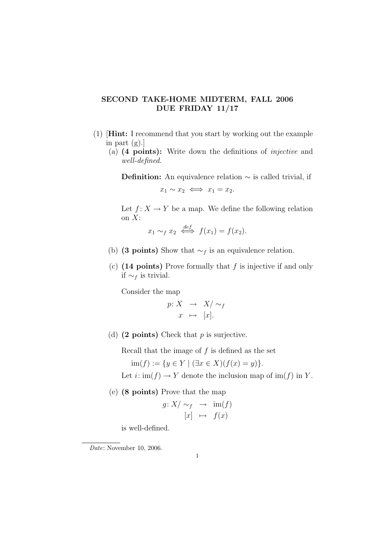## SECOND TAKE-HOME MIDTERM, FALL 2006 DUE FRIDAY 11/17

- (1) [Hint: I recommend that you start by working out the example in part (g).]
	- (a) (4 points): Write down the definitions of injective and well-defined.

**Definition:** An equivalence relation  $\sim$  is called trivial, if

$$
x_1 \sim x_2 \iff x_1 = x_2.
$$

Let  $f: X \to Y$  be a map. We define the following relation on  $X$ :

$$
x_1 \sim_f x_2 \iff f(x_1) = f(x_2).
$$

- (b) (3 points) Show that  $\sim_f$  is an equivalence relation.
- (c)  $(14 \text{ points})$  Prove formally that f is injective if and only if  $∼<sub>f</sub>$  is trivial.

Consider the map

$$
p: X \rightarrow X/\sim_f
$$

$$
x \mapsto [x].
$$

(d)  $(2 \text{ points})$  Check that p is surjective.

Recall that the image of  $f$  is defined as the set

 $\text{im}(f) := \{y \in Y \mid (\exists x \in X)(f(x) = y)\}.$ 

Let  $i: \text{im}(f) \to Y$  denote the inclusion map of  $\text{im}(f)$  in Y.

(e) (8 points) Prove that the map

$$
g: X/\sim_f \rightarrow \text{im}(f)
$$

$$
[x] \rightarrow f(x)
$$

is well-defined.

Date: November 10, 2006.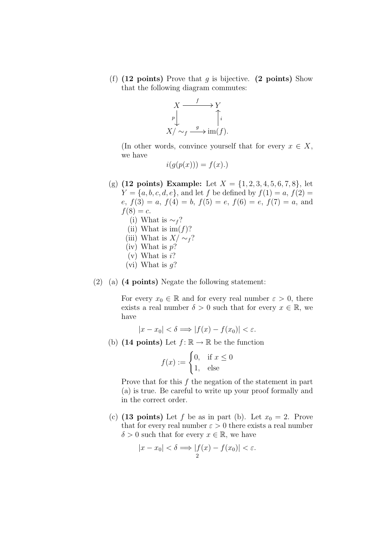(f)  $(12 \text{ points})$  Prove that g is bijective.  $(2 \text{ points})$  Show that the following diagram commutes:



(In other words, convince yourself that for every  $x \in X$ , we have

$$
i(g(p(x))) = f(x).
$$

- (g) (12 points) Example: Let  $X = \{1, 2, 3, 4, 5, 6, 7, 8\}$ , let  $Y = \{a, b, c, d, e\}$ , and let f be defined by  $f(1) = a, f(2) = a$  $e, f(3) = a, f(4) = b, f(5) = e, f(6) = e, f(7) = a,$  and  $f(8) = c.$ 
	- (i) What is  $\sim_f$ ?
	- (ii) What is  $\text{im}(f)$ ?
	- (iii) What is  $X/\sim_f$ ?
	- (iv) What is  $p$ ?
	- $(v)$  What is i?
	- (vi) What is  $q$ ?

## $(2)$  (a) (4 points) Negate the following statement:

For every  $x_0 \in \mathbb{R}$  and for every real number  $\varepsilon > 0$ , there exists a real number  $\delta > 0$  such that for every  $x \in \mathbb{R}$ , we have

$$
|x - x_0| < \delta \Longrightarrow |f(x) - f(x_0)| < \varepsilon.
$$

(b) (14 points) Let  $f: \mathbb{R} \to \mathbb{R}$  be the function

$$
f(x) := \begin{cases} 0, & \text{if } x \le 0 \\ 1, & \text{else} \end{cases}
$$

Prove that for this  $f$  the negation of the statement in part (a) is true. Be careful to write up your proof formally and in the correct order.

(c) (13 points) Let f be as in part (b). Let  $x_0 = 2$ . Prove that for every real number  $\varepsilon > 0$  there exists a real number  $\delta > 0$  such that for every  $x \in \mathbb{R}$ , we have

$$
|x - x_0| < \delta \Longrightarrow |f(x) - f(x_0)| < \varepsilon.
$$